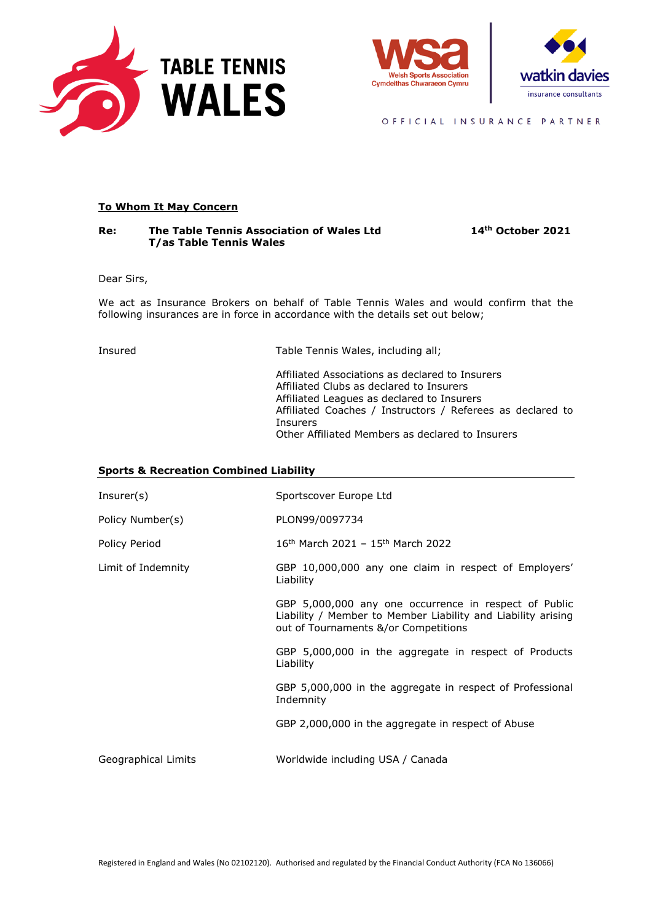





OFFICIAL INSURANCE PARTNER

# **To Whom It May Concern**

#### **Re: The Table Tennis Association of Wales Ltd 14th October 2021 T/as Table Tennis Wales**

Dear Sirs,

We act as Insurance Brokers on behalf of Table Tennis Wales and would confirm that the following insurances are in force in accordance with the details set out below;

Insured Table Tennis Wales, including all;

Affiliated Associations as declared to Insurers Affiliated Clubs as declared to Insurers Affiliated Leagues as declared to Insurers Affiliated Coaches / Instructors / Referees as declared to Insurers Other Affiliated Members as declared to Insurers

### **Sports & Recreation Combined Liability**

| Insert(s)           | Sportscover Europe Ltd                                                                                                                                        |  |
|---------------------|---------------------------------------------------------------------------------------------------------------------------------------------------------------|--|
| Policy Number(s)    | PLON99/0097734                                                                                                                                                |  |
| Policy Period       | $16th$ March 2021 - 15 <sup>th</sup> March 2022                                                                                                               |  |
| Limit of Indemnity  | GBP 10,000,000 any one claim in respect of Employers'<br>Liability                                                                                            |  |
|                     | GBP 5,000,000 any one occurrence in respect of Public<br>Liability / Member to Member Liability and Liability arising<br>out of Tournaments &/or Competitions |  |
|                     | GBP 5,000,000 in the aggregate in respect of Products<br>Liability                                                                                            |  |
|                     | GBP 5,000,000 in the aggregate in respect of Professional<br>Indemnity                                                                                        |  |
|                     | GBP 2,000,000 in the aggregate in respect of Abuse                                                                                                            |  |
| Geographical Limits | Worldwide including USA / Canada                                                                                                                              |  |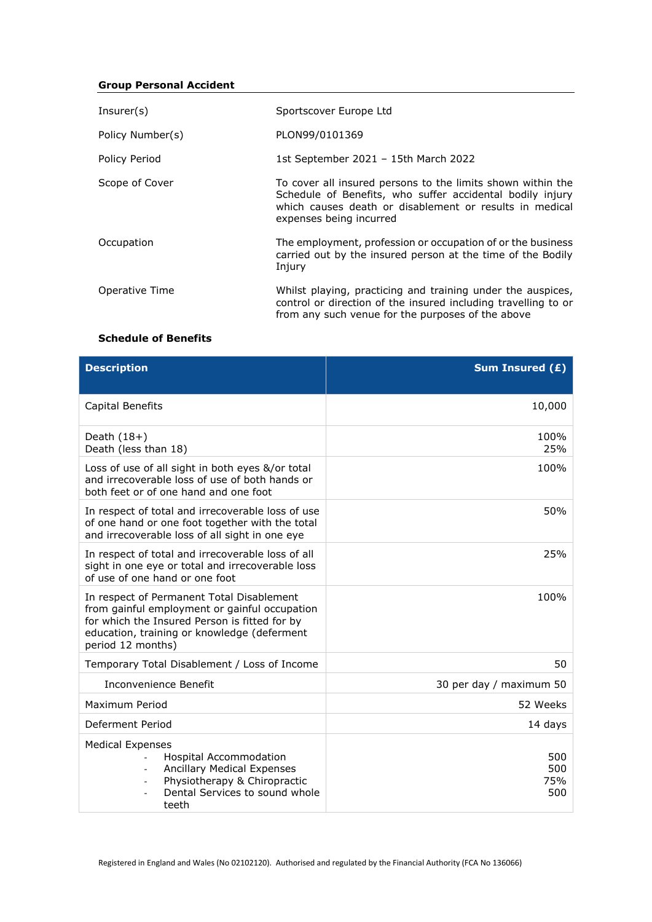# **Group Personal Accident**

| Insert(s)        | Sportscover Europe Ltd                                                                                                                                                                                         |
|------------------|----------------------------------------------------------------------------------------------------------------------------------------------------------------------------------------------------------------|
| Policy Number(s) | PLON99/0101369                                                                                                                                                                                                 |
| Policy Period    | 1st September 2021 - 15th March 2022                                                                                                                                                                           |
| Scope of Cover   | To cover all insured persons to the limits shown within the<br>Schedule of Benefits, who suffer accidental bodily injury<br>which causes death or disablement or results in medical<br>expenses being incurred |
| Occupation       | The employment, profession or occupation of or the business<br>carried out by the insured person at the time of the Bodily<br>Injury                                                                           |
| Operative Time   | Whilst playing, practicing and training under the auspices,<br>control or direction of the insured including travelling to or<br>from any such venue for the purposes of the above                             |

## **Schedule of Benefits**

| <b>Description</b>                                                                                                                                                                                              | Sum Insured $(E)$        |
|-----------------------------------------------------------------------------------------------------------------------------------------------------------------------------------------------------------------|--------------------------|
| Capital Benefits                                                                                                                                                                                                | 10,000                   |
| Death $(18+)$<br>Death (less than 18)                                                                                                                                                                           | 100%<br>25%              |
| Loss of use of all sight in both eyes &/or total<br>and irrecoverable loss of use of both hands or<br>both feet or of one hand and one foot                                                                     | 100%                     |
| In respect of total and irrecoverable loss of use<br>of one hand or one foot together with the total<br>and irrecoverable loss of all sight in one eye                                                          | 50%                      |
| In respect of total and irrecoverable loss of all<br>sight in one eye or total and irrecoverable loss<br>of use of one hand or one foot                                                                         | 25%                      |
| In respect of Permanent Total Disablement<br>from gainful employment or gainful occupation<br>for which the Insured Person is fitted for by<br>education, training or knowledge (deferment<br>period 12 months) | 100%                     |
| Temporary Total Disablement / Loss of Income                                                                                                                                                                    | 50                       |
| Inconvenience Benefit                                                                                                                                                                                           | 30 per day / maximum 50  |
| Maximum Period                                                                                                                                                                                                  | 52 Weeks                 |
| Deferment Period                                                                                                                                                                                                | 14 days                  |
| <b>Medical Expenses</b><br><b>Hospital Accommodation</b><br><b>Ancillary Medical Expenses</b><br>Physiotherapy & Chiropractic<br>Dental Services to sound whole<br>teeth                                        | 500<br>500<br>75%<br>500 |